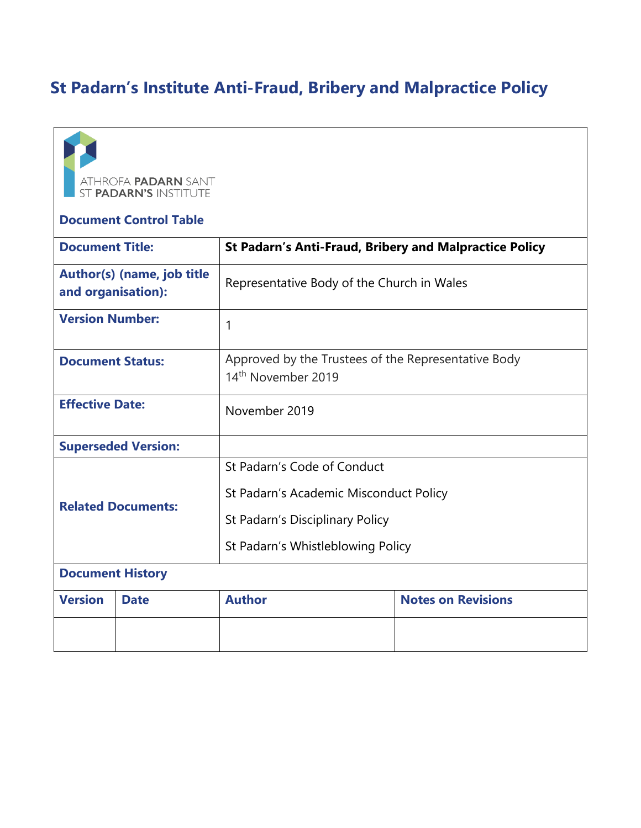# **St Padarn's Institute Anti-Fraud, Bribery and Malpractice Policy**



#### **Document Control Table**

| <b>Document Title:</b>                           |             | <b>St Padarn's Anti-Fraud, Bribery and Malpractice Policy</b>                                                                                 |                           |
|--------------------------------------------------|-------------|-----------------------------------------------------------------------------------------------------------------------------------------------|---------------------------|
| Author(s) (name, job title<br>and organisation): |             | Representative Body of the Church in Wales                                                                                                    |                           |
| <b>Version Number:</b>                           |             | 1                                                                                                                                             |                           |
| <b>Document Status:</b>                          |             | Approved by the Trustees of the Representative Body<br>14 <sup>th</sup> November 2019                                                         |                           |
| <b>Effective Date:</b>                           |             | November 2019                                                                                                                                 |                           |
| <b>Superseded Version:</b>                       |             |                                                                                                                                               |                           |
| <b>Related Documents:</b>                        |             | St Padarn's Code of Conduct<br>St Padarn's Academic Misconduct Policy<br>St Padarn's Disciplinary Policy<br>St Padarn's Whistleblowing Policy |                           |
| <b>Document History</b>                          |             |                                                                                                                                               |                           |
| <b>Version</b>                                   | <b>Date</b> | <b>Author</b>                                                                                                                                 | <b>Notes on Revisions</b> |
|                                                  |             |                                                                                                                                               |                           |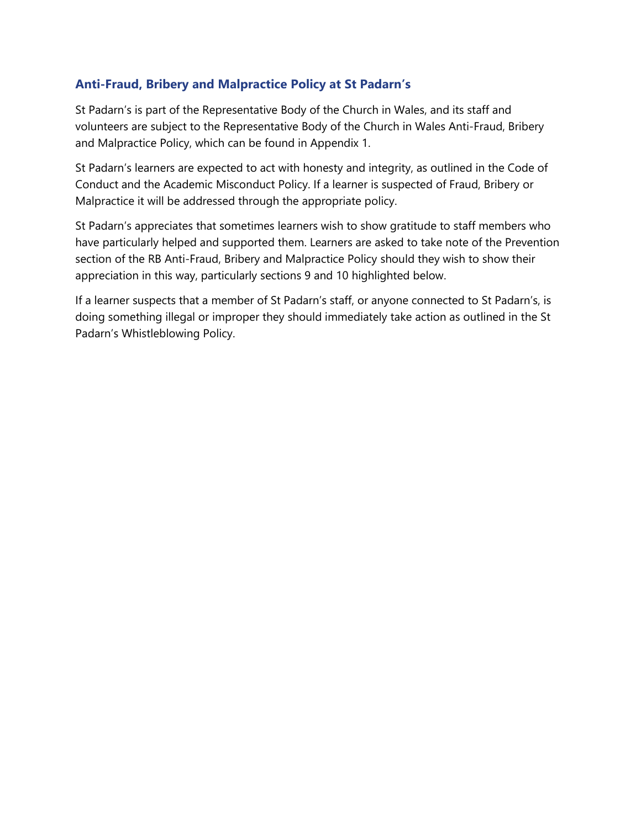#### **Anti-Fraud, Bribery and Malpractice Policy at St Padarn's**

St Padarn's is part of the Representative Body of the Church in Wales, and its staff and volunteers are subject to the Representative Body of the Church in Wales Anti-Fraud, Bribery and Malpractice Policy, which can be found in Appendix 1.

St Padarn's learners are expected to act with honesty and integrity, as outlined in the Code of Conduct and the Academic Misconduct Policy. If a learner is suspected of Fraud, Bribery or Malpractice it will be addressed through the appropriate policy.

St Padarn's appreciates that sometimes learners wish to show gratitude to staff members who have particularly helped and supported them. Learners are asked to take note of the Prevention section of the RB Anti-Fraud, Bribery and Malpractice Policy should they wish to show their appreciation in this way, particularly sections 9 and 10 highlighted below.

If a learner suspects that a member of St Padarn's staff, or anyone connected to St Padarn's, is doing something illegal or improper they should immediately take action as outlined in the St Padarn's Whistleblowing Policy.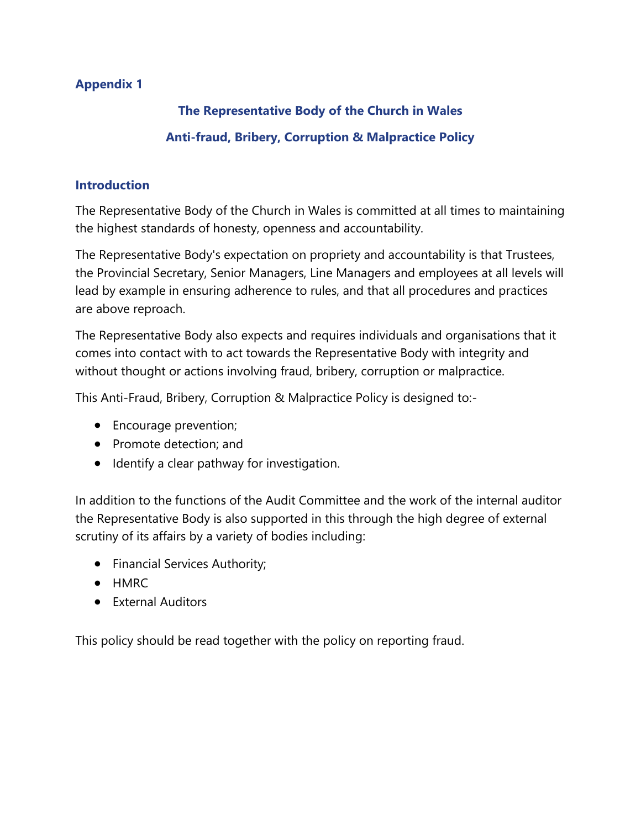# **Appendix 1**

# **The Representative Body of the Church in Wales**

# **Anti-fraud, Bribery, Corruption & Malpractice Policy**

#### **Introduction**

The Representative Body of the Church in Wales is committed at all times to maintaining the highest standards of honesty, openness and accountability.

The Representative Body's expectation on propriety and accountability is that Trustees, the Provincial Secretary, Senior Managers, Line Managers and employees at all levels will lead by example in ensuring adherence to rules, and that all procedures and practices are above reproach.

The Representative Body also expects and requires individuals and organisations that it comes into contact with to act towards the Representative Body with integrity and without thought or actions involving fraud, bribery, corruption or malpractice.

This Anti-Fraud, Bribery, Corruption & Malpractice Policy is designed to:-

- Encourage prevention;
- Promote detection: and
- Identify a clear pathway for investigation.

In addition to the functions of the Audit Committee and the work of the internal auditor the Representative Body is also supported in this through the high degree of external scrutiny of its affairs by a variety of bodies including:

- Financial Services Authority;
- HMRC
- External Auditors

This policy should be read together with the policy on reporting fraud.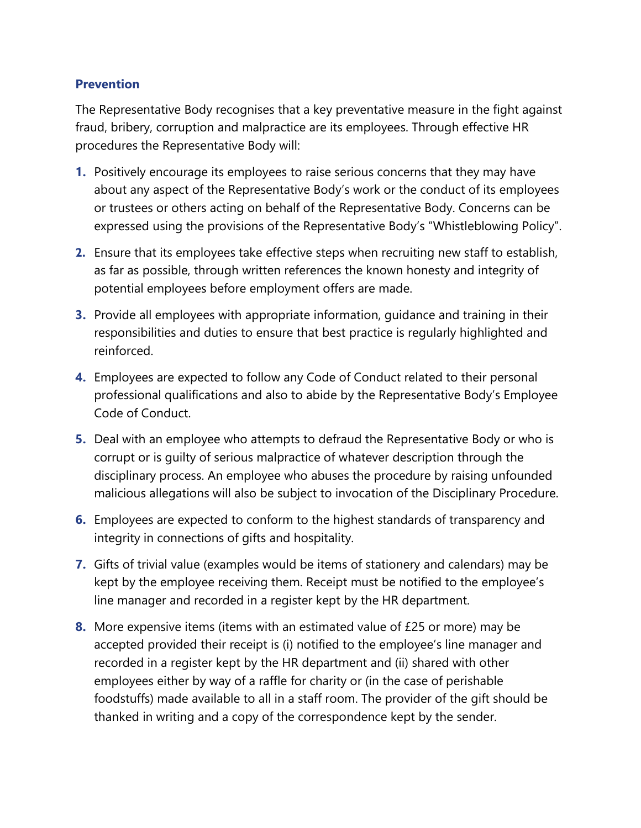#### **Prevention**

The Representative Body recognises that a key preventative measure in the fight against fraud, bribery, corruption and malpractice are its employees. Through effective HR procedures the Representative Body will:

- **1.** Positively encourage its employees to raise serious concerns that they may have about any aspect of the Representative Body's work or the conduct of its employees or trustees or others acting on behalf of the Representative Body. Concerns can be expressed using the provisions of the Representative Body's "Whistleblowing Policy".
- **2.** Ensure that its employees take effective steps when recruiting new staff to establish, as far as possible, through written references the known honesty and integrity of potential employees before employment offers are made.
- **3.** Provide all employees with appropriate information, guidance and training in their responsibilities and duties to ensure that best practice is regularly highlighted and reinforced.
- **4.** Employees are expected to follow any Code of Conduct related to their personal professional qualifications and also to abide by the Representative Body's Employee Code of Conduct.
- **5.** Deal with an employee who attempts to defraud the Representative Body or who is corrupt or is guilty of serious malpractice of whatever description through the disciplinary process. An employee who abuses the procedure by raising unfounded malicious allegations will also be subject to invocation of the Disciplinary Procedure.
- **6.** Employees are expected to conform to the highest standards of transparency and integrity in connections of gifts and hospitality.
- **7.** Gifts of trivial value (examples would be items of stationery and calendars) may be kept by the employee receiving them. Receipt must be notified to the employee's line manager and recorded in a register kept by the HR department.
- **8.** More expensive items (items with an estimated value of £25 or more) may be accepted provided their receipt is (i) notified to the employee's line manager and recorded in a register kept by the HR department and (ii) shared with other employees either by way of a raffle for charity or (in the case of perishable foodstuffs) made available to all in a staff room. The provider of the gift should be thanked in writing and a copy of the correspondence kept by the sender.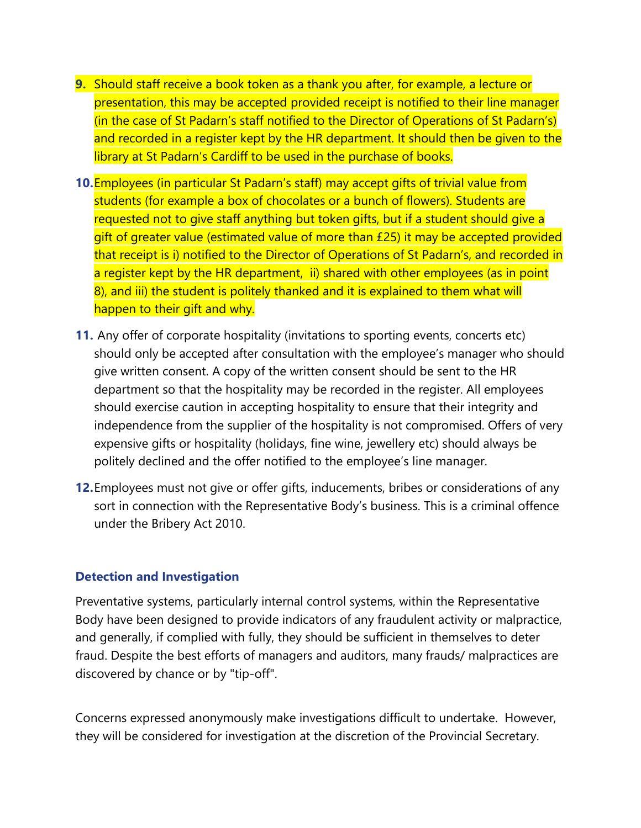- **9.** Should staff receive a book token as a thank you after, for example, a lecture or presentation, this may be accepted provided receipt is notified to their line manager (in the case of St Padarn's staff notified to the Director of Operations of St Padarn's) and recorded in a register kept by the HR department. It should then be given to the library at St Padarn's Cardiff to be used in the purchase of books.
- **10.**Employees (in particular St Padarn's staff) may accept gifts of trivial value from students (for example a box of chocolates or a bunch of flowers). Students are requested not to give staff anything but token gifts, but if a student should give a gift of greater value (estimated value of more than £25) it may be accepted provided that receipt is i) notified to the Director of Operations of St Padarn's, and recorded in a register kept by the HR department, ii) shared with other employees (as in point 8), and iii) the student is politely thanked and it is explained to them what will happen to their gift and why.
- **11.** Any offer of corporate hospitality (invitations to sporting events, concerts etc) should only be accepted after consultation with the employee's manager who should give written consent. A copy of the written consent should be sent to the HR department so that the hospitality may be recorded in the register. All employees should exercise caution in accepting hospitality to ensure that their integrity and independence from the supplier of the hospitality is not compromised. Offers of very expensive gifts or hospitality (holidays, fine wine, jewellery etc) should always be politely declined and the offer notified to the employee's line manager.
- **12.**Employees must not give or offer gifts, inducements, bribes or considerations of any sort in connection with the Representative Body's business. This is a criminal offence under the Bribery Act 2010.

#### **Detection and Investigation**

Preventative systems, particularly internal control systems, within the Representative Body have been designed to provide indicators of any fraudulent activity or malpractice, and generally, if complied with fully, they should be sufficient in themselves to deter fraud. Despite the best efforts of managers and auditors, many frauds/ malpractices are discovered by chance or by "tip-off".

Concerns expressed anonymously make investigations difficult to undertake. However, they will be considered for investigation at the discretion of the Provincial Secretary.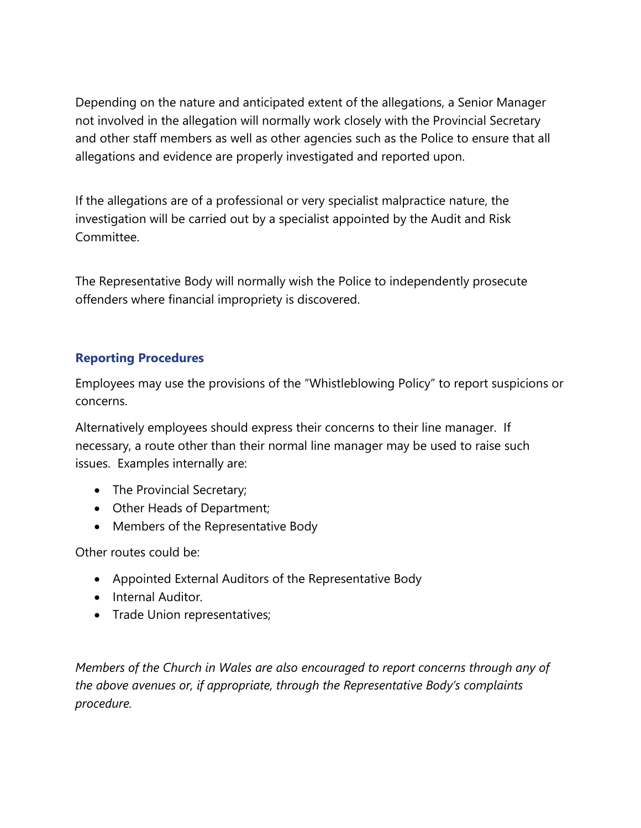Depending on the nature and anticipated extent of the allegations, a Senior Manager not involved in the allegation will normally work closely with the Provincial Secretary and other staff members as well as other agencies such as the Police to ensure that all allegations and evidence are properly investigated and reported upon.

If the allegations are of a professional or very specialist malpractice nature, the investigation will be carried out by a specialist appointed by the Audit and Risk Committee.

The Representative Body will normally wish the Police to independently prosecute offenders where financial impropriety is discovered.

## **Reporting Procedures**

Employees may use the provisions of the "Whistleblowing Policy" to report suspicions or concerns.

Alternatively employees should express their concerns to their line manager. If necessary, a route other than their normal line manager may be used to raise such issues. Examples internally are:

- The Provincial Secretary;
- Other Heads of Department;
- Members of the Representative Body

Other routes could be:

- Appointed External Auditors of the Representative Body
- Internal Auditor.
- Trade Union representatives;

*Members of the Church in Wales are also encouraged to report concerns through any of the above avenues or, if appropriate, through the Representative Body's complaints procedure.*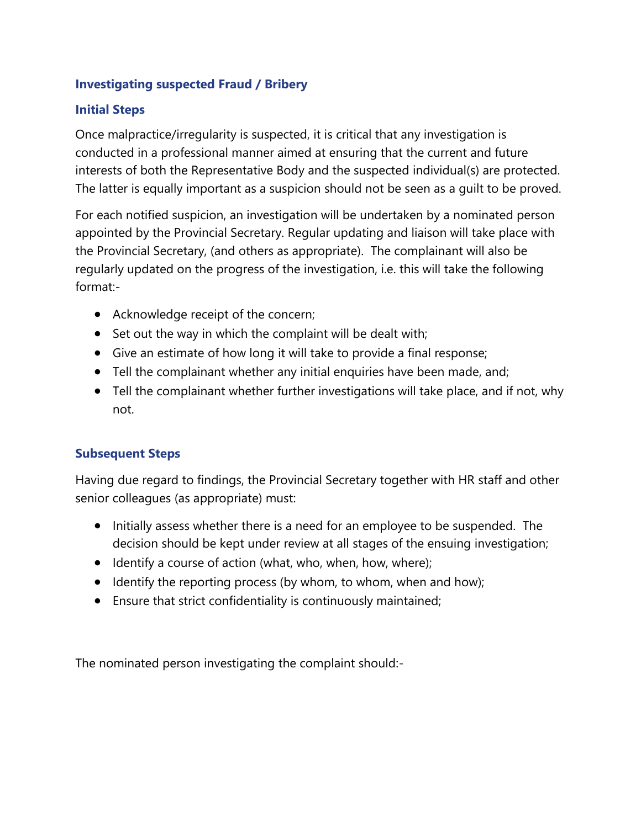## **Investigating suspected Fraud / Bribery**

## **Initial Steps**

Once malpractice/irregularity is suspected, it is critical that any investigation is conducted in a professional manner aimed at ensuring that the current and future interests of both the Representative Body and the suspected individual(s) are protected. The latter is equally important as a suspicion should not be seen as a guilt to be proved.

For each notified suspicion, an investigation will be undertaken by a nominated person appointed by the Provincial Secretary. Regular updating and liaison will take place with the Provincial Secretary, (and others as appropriate). The complainant will also be regularly updated on the progress of the investigation, i.e. this will take the following format:-

- Acknowledge receipt of the concern;
- Set out the way in which the complaint will be dealt with;
- Give an estimate of how long it will take to provide a final response;
- Tell the complainant whether any initial enquiries have been made, and;
- Tell the complainant whether further investigations will take place, and if not, why not.

# **Subsequent Steps**

Having due regard to findings, the Provincial Secretary together with HR staff and other senior colleagues (as appropriate) must:

- Initially assess whether there is a need for an employee to be suspended. The decision should be kept under review at all stages of the ensuing investigation;
- Identify a course of action (what, who, when, how, where);
- Identify the reporting process (by whom, to whom, when and how);
- Ensure that strict confidentiality is continuously maintained;

The nominated person investigating the complaint should:-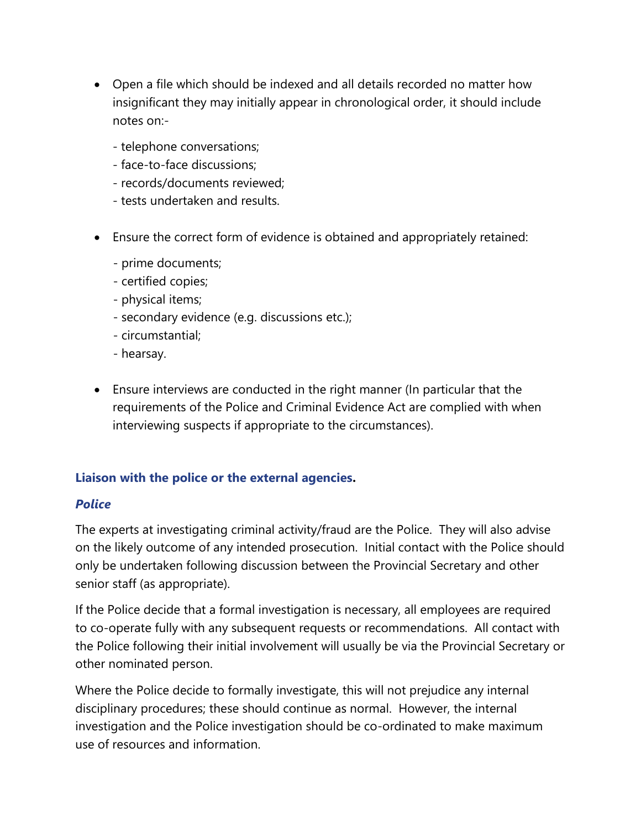- Open a file which should be indexed and all details recorded no matter how insignificant they may initially appear in chronological order, it should include notes on:-
	- telephone conversations;
	- face-to-face discussions;
	- records/documents reviewed;
	- tests undertaken and results.
- Ensure the correct form of evidence is obtained and appropriately retained:
	- prime documents;
	- certified copies;
	- physical items;
	- secondary evidence (e.g. discussions etc.);
	- circumstantial;
	- hearsay.
- Ensure interviews are conducted in the right manner (In particular that the requirements of the Police and Criminal Evidence Act are complied with when interviewing suspects if appropriate to the circumstances).

# **Liaison with the police or the external agencies.**

#### *Police*

The experts at investigating criminal activity/fraud are the Police. They will also advise on the likely outcome of any intended prosecution. Initial contact with the Police should only be undertaken following discussion between the Provincial Secretary and other senior staff (as appropriate).

If the Police decide that a formal investigation is necessary, all employees are required to co-operate fully with any subsequent requests or recommendations. All contact with the Police following their initial involvement will usually be via the Provincial Secretary or other nominated person.

Where the Police decide to formally investigate, this will not prejudice any internal disciplinary procedures; these should continue as normal. However, the internal investigation and the Police investigation should be co-ordinated to make maximum use of resources and information.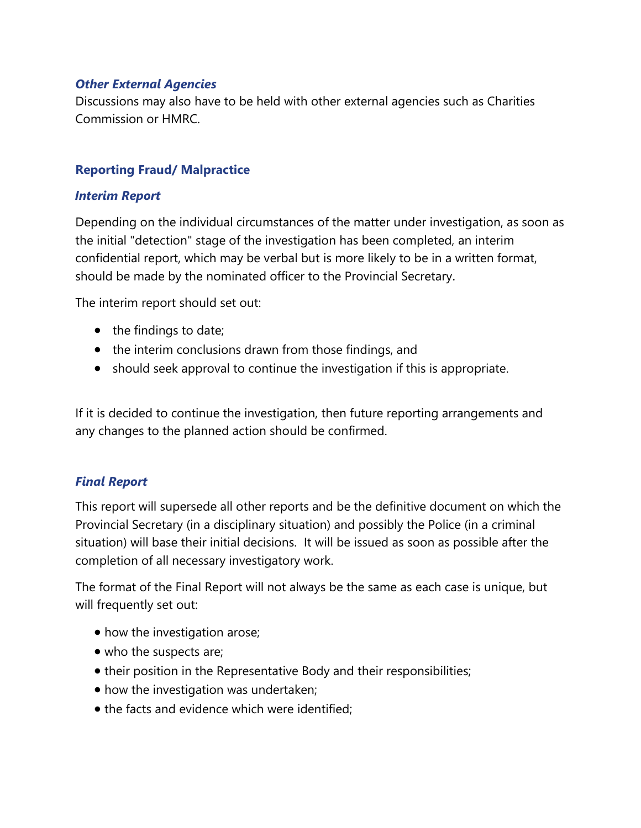#### *Other External Agencies*

Discussions may also have to be held with other external agencies such as Charities Commission or HMRC.

#### **Reporting Fraud/ Malpractice**

#### *Interim Report*

Depending on the individual circumstances of the matter under investigation, as soon as the initial "detection" stage of the investigation has been completed, an interim confidential report, which may be verbal but is more likely to be in a written format, should be made by the nominated officer to the Provincial Secretary.

The interim report should set out:

- the findings to date;
- the interim conclusions drawn from those findings, and
- should seek approval to continue the investigation if this is appropriate.

If it is decided to continue the investigation, then future reporting arrangements and any changes to the planned action should be confirmed.

#### *Final Report*

This report will supersede all other reports and be the definitive document on which the Provincial Secretary (in a disciplinary situation) and possibly the Police (in a criminal situation) will base their initial decisions. It will be issued as soon as possible after the completion of all necessary investigatory work.

The format of the Final Report will not always be the same as each case is unique, but will frequently set out:

- how the investigation arose;
- who the suspects are;
- their position in the Representative Body and their responsibilities;
- how the investigation was undertaken;
- the facts and evidence which were identified: